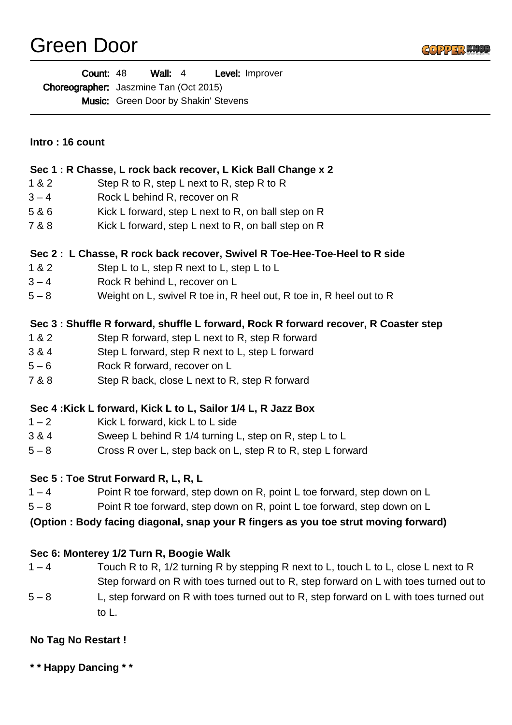# Green Door



Wall: 4 Level: Improver Choreographer: Jaszmine Tan (Oct 2015) Music: Green Door by Shakin' Stevens Count: 48

|  |  |  |  | Intro: 16 count |
|--|--|--|--|-----------------|
|--|--|--|--|-----------------|

## **Sec 1 : R Chasse, L rock back recover, L Kick Ball Change x 2**

- 1 & 2 Step R to R, step L next to R, step R to R
- 3 4 Rock L behind R, recover on R
- 5 & 6 Kick L forward, step L next to R, on ball step on R
- 7 & 8 Kick L forward, step L next to R, on ball step on R

#### **Sec 2 : L Chasse, R rock back recover, Swivel R Toe-Hee-Toe-Heel to R side**

- 1 & 2 Step L to L, step R next to L, step L to L
- 3 4 Rock R behind L, recover on L
- 5 8 Weight on L, swivel R toe in, R heel out, R toe in, R heel out to R

### **Sec 3 : Shuffle R forward, shuffle L forward, Rock R forward recover, R Coaster step**

- 1 & 2 Step R forward, step L next to R, step R forward
- 3 & 4 Step L forward, step R next to L, step L forward
- 5 6 Rock R forward, recover on L
- 7 & 8 Step R back, close L next to R, step R forward

### **Sec 4 :Kick L forward, Kick L to L, Sailor 1/4 L, R Jazz Box**

- 1 2 Kick L forward, kick L to L side
- 3 & 4 Sweep L behind R 1/4 turning L, step on R, step L to L
- 5 8 Cross R over L, step back on L, step R to R, step L forward

### **Sec 5 : Toe Strut Forward R, L, R, L**

- 1 4 Point R toe forward, step down on R, point L toe forward, step down on L
- 5 8 Point R toe forward, step down on R, point L toe forward, step down on L

#### **(Option : Body facing diagonal, snap your R fingers as you toe strut moving forward)**

### **Sec 6: Monterey 1/2 Turn R, Boogie Walk**

- 1 4 Touch R to R, 1/2 turning R by stepping R next to L, touch L to L, close L next to R Step forward on R with toes turned out to R, step forward on L with toes turned out to
- $5 8$ L, step forward on R with toes turned out to R, step forward on L with toes turned out to L.

### **No Tag No Restart !**

**\* \* Happy Dancing \* \***